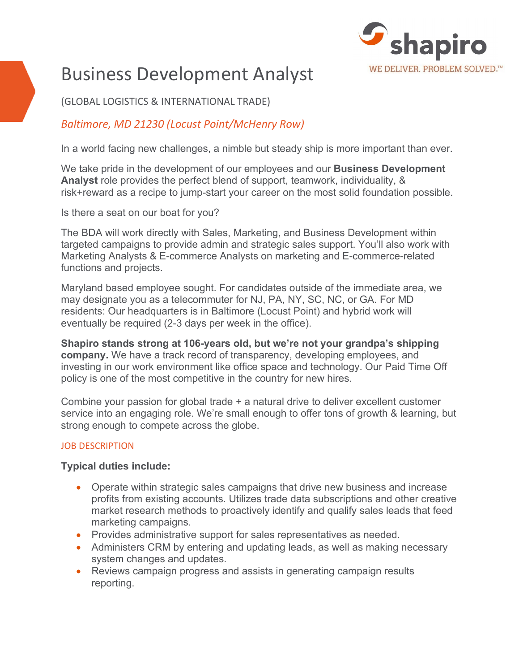

# Business Development Analyst

## (GLOBAL LOGISTICS & INTERNATIONAL TRADE)

# *Baltimore, MD 21230 (Locust Point/McHenry Row)*

In a world facing new challenges, a nimble but steady ship is more important than ever.

We take pride in the development of our employees and our **Business Development Analyst** role provides the perfect blend of support, teamwork, individuality, & risk+reward as a recipe to jump-start your career on the most solid foundation possible.

Is there a seat on our boat for you?

The BDA will work directly with Sales, Marketing, and Business Development within targeted campaigns to provide admin and strategic sales support. You'll also work with Marketing Analysts & E-commerce Analysts on marketing and E-commerce-related functions and projects.

Maryland based employee sought. For candidates outside of the immediate area, we may designate you as a telecommuter for NJ, PA, NY, SC, NC, or GA. For MD residents: Our headquarters is in Baltimore (Locust Point) and hybrid work will eventually be required (2-3 days per week in the office).

**Shapiro stands strong at 106-years old, but we're not your grandpa's shipping company.** We have a track record of transparency, developing employees, and investing in our work environment like office space and technology. Our Paid Time Off policy is one of the most competitive in the country for new hires.

Combine your passion for global trade + a natural drive to deliver excellent customer service into an engaging role. We're small enough to offer tons of growth & learning, but strong enough to compete across the globe.

#### JOB DESCRIPTION

#### **Typical duties include:**

- Operate within strategic sales campaigns that drive new business and increase profits from existing accounts. Utilizes trade data subscriptions and other creative market research methods to proactively identify and qualify sales leads that feed marketing campaigns.
- Provides administrative support for sales representatives as needed.
- Administers CRM by entering and updating leads, as well as making necessary system changes and updates.
- Reviews campaign progress and assists in generating campaign results reporting.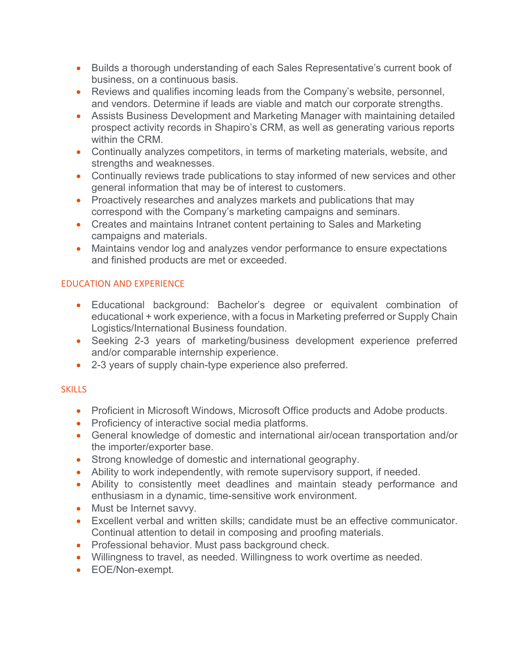- Builds a thorough understanding of each Sales Representative's current book of business, on a continuous basis.
- Reviews and qualifies incoming leads from the Company's website, personnel, and vendors. Determine if leads are viable and match our corporate strengths.
- Assists Business Development and Marketing Manager with maintaining detailed prospect activity records in Shapiro's CRM, as well as generating various reports within the CRM.
- Continually analyzes competitors, in terms of marketing materials, website, and strengths and weaknesses.
- Continually reviews trade publications to stay informed of new services and other general information that may be of interest to customers.
- Proactively researches and analyzes markets and publications that may correspond with the Company's marketing campaigns and seminars.
- Creates and maintains Intranet content pertaining to Sales and Marketing campaigns and materials.
- Maintains vendor log and analyzes vendor performance to ensure expectations and finished products are met or exceeded.

### EDUCATION AND EXPERIENCE

- Educational background: Bachelor's degree or equivalent combination of educational + work experience, with a focus in Marketing preferred or Supply Chain Logistics/International Business foundation.
- Seeking 2-3 years of marketing/business development experience preferred and/or comparable internship experience.
- 2-3 years of supply chain-type experience also preferred.

## **SKILLS**

- Proficient in Microsoft Windows, Microsoft Office products and Adobe products.
- Proficiency of interactive social media platforms.
- General knowledge of domestic and international air/ocean transportation and/or the importer/exporter base.
- Strong knowledge of domestic and international geography.
- Ability to work independently, with remote supervisory support, if needed.
- Ability to consistently meet deadlines and maintain steady performance and enthusiasm in a dynamic, time-sensitive work environment.
- Must be Internet savvy.
- Excellent verbal and written skills; candidate must be an effective communicator. Continual attention to detail in composing and proofing materials.
- Professional behavior. Must pass background check.
- Willingness to travel, as needed. Willingness to work overtime as needed.
- EOE/Non-exempt.